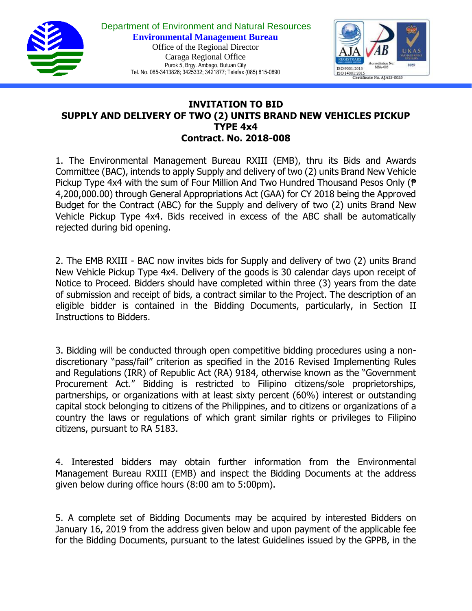



## **INVITATION TO BID SUPPLY AND DELIVERY OF TWO (2) UNITS BRAND NEW VEHICLES PICKUP TYPE 4x4 Contract. No. 2018-008**

1. The Environmental Management Bureau RXIII (EMB), thru its Bids and Awards Committee (BAC), intends to apply Supply and delivery of two (2) units Brand New Vehicle Pickup Type 4x4 with the sum of Four Million And Two Hundred Thousand Pesos Only (₱ 4,200,000.00) through General Appropriations Act (GAA) for CY 2018 being the Approved Budget for the Contract (ABC) for the Supply and delivery of two (2) units Brand New Vehicle Pickup Type 4x4. Bids received in excess of the ABC shall be automatically rejected during bid opening.

2. The EMB RXIII - BAC now invites bids for Supply and delivery of two (2) units Brand New Vehicle Pickup Type 4x4. Delivery of the goods is 30 calendar days upon receipt of Notice to Proceed. Bidders should have completed within three (3) years from the date of submission and receipt of bids, a contract similar to the Project. The description of an eligible bidder is contained in the Bidding Documents, particularly, in Section II Instructions to Bidders.

3. Bidding will be conducted through open competitive bidding procedures using a nondiscretionary "pass/fail" criterion as specified in the 2016 Revised Implementing Rules and Regulations (IRR) of Republic Act (RA) 9184, otherwise known as the "Government Procurement Act." Bidding is restricted to Filipino citizens/sole proprietorships, partnerships, or organizations with at least sixty percent (60%) interest or outstanding capital stock belonging to citizens of the Philippines, and to citizens or organizations of a country the laws or regulations of which grant similar rights or privileges to Filipino citizens, pursuant to RA 5183.

4. Interested bidders may obtain further information from the Environmental Management Bureau RXIII (EMB) and inspect the Bidding Documents at the address given below during office hours (8:00 am to 5:00pm).

5. A complete set of Bidding Documents may be acquired by interested Bidders on January 16, 2019 from the address given below and upon payment of the applicable fee for the Bidding Documents, pursuant to the latest Guidelines issued by the GPPB, in the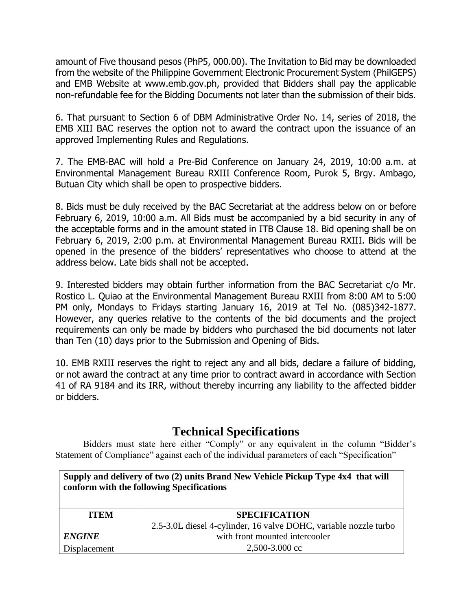amount of Five thousand pesos (PhP5, 000.00). The Invitation to Bid may be downloaded from the website of the Philippine Government Electronic Procurement System (PhilGEPS) and EMB Website at www.emb.gov.ph, provided that Bidders shall pay the applicable non-refundable fee for the Bidding Documents not later than the submission of their bids.

6. That pursuant to Section 6 of DBM Administrative Order No. 14, series of 2018, the EMB XIII BAC reserves the option not to award the contract upon the issuance of an approved Implementing Rules and Regulations.

7. The EMB-BAC will hold a Pre-Bid Conference on January 24, 2019, 10:00 a.m. at Environmental Management Bureau RXIII Conference Room, Purok 5, Brgy. Ambago, Butuan City which shall be open to prospective bidders.

8. Bids must be duly received by the BAC Secretariat at the address below on or before February 6, 2019, 10:00 a.m. All Bids must be accompanied by a bid security in any of the acceptable forms and in the amount stated in ITB Clause 18. Bid opening shall be on February 6, 2019, 2:00 p.m. at Environmental Management Bureau RXIII. Bids will be opened in the presence of the bidders' representatives who choose to attend at the address below. Late bids shall not be accepted.

9. Interested bidders may obtain further information from the BAC Secretariat c/o Mr. Rostico L. Quiao at the Environmental Management Bureau RXIII from 8:00 AM to 5:00 PM only, Mondays to Fridays starting January 16, 2019 at Tel No. (085)342-1877. However, any queries relative to the contents of the bid documents and the project requirements can only be made by bidders who purchased the bid documents not later than Ten (10) days prior to the Submission and Opening of Bids.

10. EMB RXIII reserves the right to reject any and all bids, declare a failure of bidding, or not award the contract at any time prior to contract award in accordance with Section 41 of RA 9184 and its IRR, without thereby incurring any liability to the affected bidder or bidders.

## **Technical Specifications**

Bidders must state here either "Comply" or any equivalent in the column "Bidder's Statement of Compliance" against each of the individual parameters of each "Specification"

| Supply and delivery of two (2) units Brand New Vehicle Pickup Type 4x4 that will<br>conform with the following Specifications |                                                                  |
|-------------------------------------------------------------------------------------------------------------------------------|------------------------------------------------------------------|
|                                                                                                                               |                                                                  |
| <b>ITEM</b>                                                                                                                   | <b>SPECIFICATION</b>                                             |
|                                                                                                                               | 2.5-3.0L diesel 4-cylinder, 16 valve DOHC, variable nozzle turbo |
| <b>ENGINE</b>                                                                                                                 | with front mounted intercooler                                   |
| Displacement                                                                                                                  | $2,500-3.000$ cc                                                 |